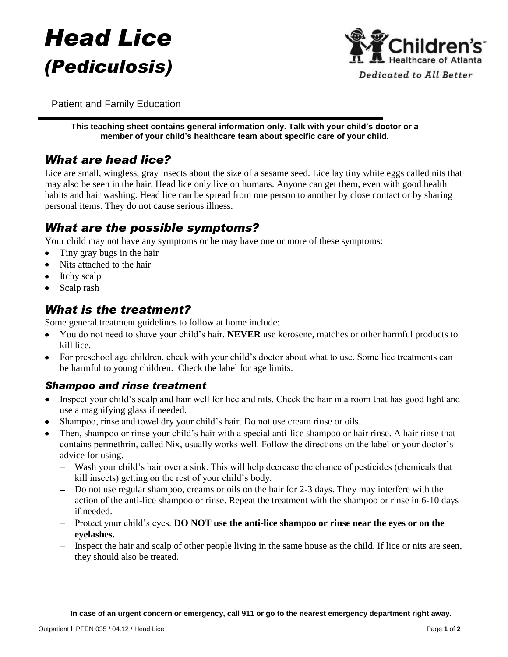# *Head Lice (Pediculosis)*



Patient and Family Education

**This teaching sheet contains general information only. Talk with your child's doctor or a member of your child's healthcare team about specific care of your child.**

## *What are head lice?*

Lice are small, wingless, gray insects about the size of a sesame seed. Lice lay tiny white eggs called nits that may also be seen in the hair. Head lice only live on humans. Anyone can get them, even with good health habits and hair washing. Head lice can be spread from one person to another by close contact or by sharing personal items. They do not cause serious illness.

## *What are the possible symptoms?*

Your child may not have any symptoms or he may have one or more of these symptoms:

- Tiny gray bugs in the hair  $\bullet$
- Nits attached to the hair
- Itchy scalp
- Scalp rash

## *What is the treatment?*

Some general treatment guidelines to follow at home include:

- You do not need to shave your child's hair. **NEVER** use kerosene, matches or other harmful products to  $\bullet$ kill lice.
- For preschool age children, check with your child's doctor about what to use. Some lice treatments can be harmful to young children. Check the label for age limits.

#### *Shampoo and rinse treatment*

- Inspect your child's scalp and hair well for lice and nits. Check the hair in a room that has good light and  $\bullet$ use a magnifying glass if needed.
- Shampoo, rinse and towel dry your child's hair. Do not use cream rinse or oils.
- Then, shampoo or rinse your child's hair with a special anti-lice shampoo or hair rinse. A hair rinse that contains permethrin, called Nix, usually works well. Follow the directions on the label or your doctor's advice for using.
	- Wash your child's hair over a sink. This will help decrease the chance of pesticides (chemicals that kill insects) getting on the rest of your child's body.
	- Do not use regular shampoo, creams or oils on the hair for 2-3 days. They may interfere with the action of the anti-lice shampoo or rinse. Repeat the treatment with the shampoo or rinse in 6-10 days if needed.
	- Protect your child's eyes. **DO NOT use the anti-lice shampoo or rinse near the eyes or on the eyelashes.**
	- Inspect the hair and scalp of other people living in the same house as the child. If lice or nits are seen, they should also be treated.